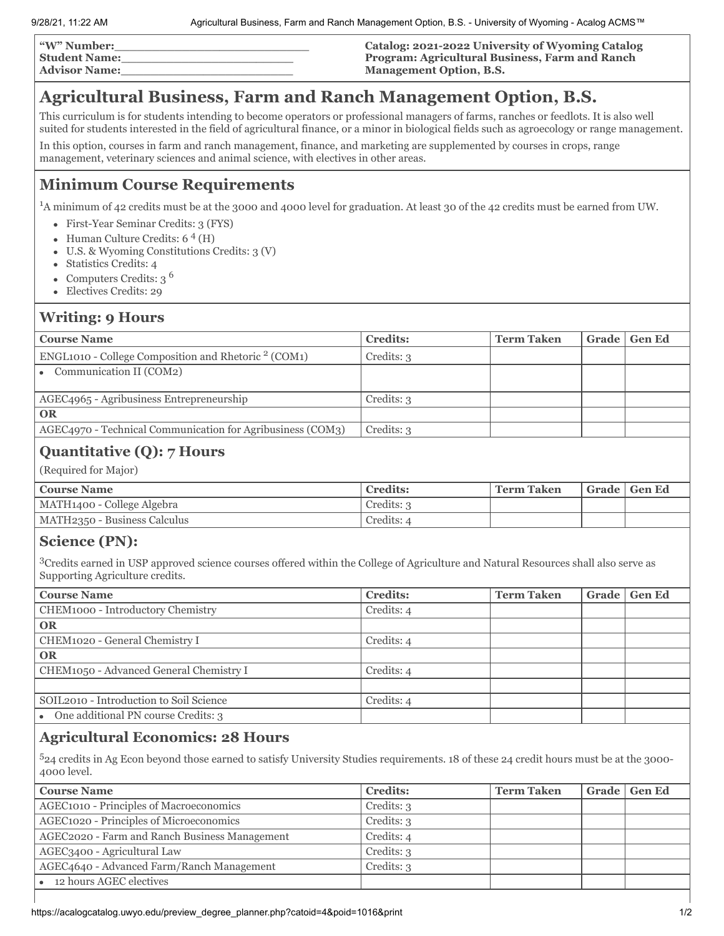| "W" Number:          | Catalog: 2021-2022 University of Wyoming Catalog      |
|----------------------|-------------------------------------------------------|
| <b>Student Name:</b> | <b>Program: Agricultural Business, Farm and Ranch</b> |
| <b>Advisor Name:</b> | <b>Management Option, B.S.</b>                        |

# **Agricultural Business, Farm and Ranch Management Option, B.S.**

This curriculum is for students intending to become operators or professional managers of farms, ranches or feedlots. It is also well suited for students interested in the field of agricultural finance, or a minor in biological fields such as agroecology or range management.

In this option, courses in farm and ranch management, finance, and marketing are supplemented by courses in crops, range management, veterinary sciences and animal science, with electives in other areas.

## **Minimum Course Requirements**

<sup>1</sup>A minimum of 42 credits must be at the 3000 and 4000 level for graduation. At least 30 of the 42 credits must be earned from UW.

- First-Year Seminar Credits: 3 (FYS)
- Human Culture Credits: 6<sup>4</sup> (H)
- U.S. & Wyoming Constitutions Credits: 3 (V)  $\bullet$
- Statistics Credits: 4  $\bullet$
- Computers Credits: 3 <sup>6</sup>  $\bullet$
- Electives Credits: 29  $\bullet$

### **Writing: 9 Hours**

| <b>Course Name</b>                                         | <b>Credits:</b> | <b>Term Taken</b> | Grade   Gen Ed |
|------------------------------------------------------------|-----------------|-------------------|----------------|
| ENGL1010 - College Composition and Rhetoric $2$ (COM1)     | Credits: 3      |                   |                |
| • Communication II ( $COM2$ )                              |                 |                   |                |
|                                                            |                 |                   |                |
| AGEC4965 - Agribusiness Entrepreneurship                   | Credits: 3      |                   |                |
| <b>OR</b>                                                  |                 |                   |                |
| AGEC4970 - Technical Communication for Agribusiness (COM3) | Credits: 3      |                   |                |
|                                                            |                 |                   |                |

### **Quantitative (Q): 7 Hours**

(Required for Major)

| <b>Course Name</b>           | Credits:   | <b>Term Taken</b> | Grade   Gen Ed |
|------------------------------|------------|-------------------|----------------|
| MATH1400 - College Algebra   | Credits: 3 |                   |                |
| MATH2350 - Business Calculus | Credits: 4 |                   |                |

#### **Science (PN):**

<sup>3</sup>Credits earned in USP approved science courses offered within the College of Agriculture and Natural Resources shall also serve as Supporting Agriculture credits.

| <b>Course Name</b>                      | <b>Credits:</b> | <b>Term Taken</b> | Grade | <b>Gen Ed</b> |
|-----------------------------------------|-----------------|-------------------|-------|---------------|
| CHEM1000 - Introductory Chemistry       | Credits: 4      |                   |       |               |
| <b>OR</b>                               |                 |                   |       |               |
| CHEM1020 - General Chemistry I          | Credits: 4      |                   |       |               |
| <b>OR</b>                               |                 |                   |       |               |
| CHEM1050 - Advanced General Chemistry I | Credits: 4      |                   |       |               |
|                                         |                 |                   |       |               |
| SOIL2010 - Introduction to Soil Science | Credits: 4      |                   |       |               |
| One additional PN course Credits: 3     |                 |                   |       |               |
|                                         |                 |                   |       |               |

#### **Agricultural Economics: 28 Hours**

<sup>5</sup>24 credits in Ag Econ beyond those earned to satisfy University Studies requirements. 18 of these 24 credit hours must be at the 3000- 4000 level.

| <b>Course Name</b>                            | <b>Credits:</b>         | Term Taken | Grade Gen Ed |
|-----------------------------------------------|-------------------------|------------|--------------|
| AGEC1010 - Principles of Macroeconomics       | C <sub>redits</sub> : 3 |            |              |
| AGEC1020 - Principles of Microeconomics       | Credits: 3              |            |              |
| AGEC2020 - Farm and Ranch Business Management | Credits: 4              |            |              |
| AGEC3400 - Agricultural Law                   | Credits: 3              |            |              |
| AGEC4640 - Advanced Farm/Ranch Management     | Credits: 3              |            |              |
| • 12 hours AGEC electives                     |                         |            |              |